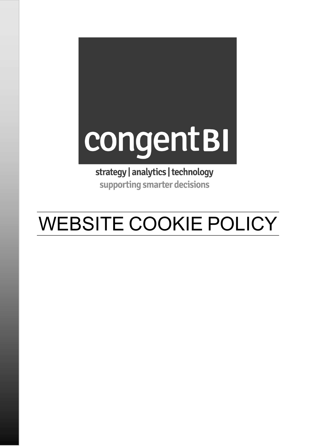# congentBI

strategy | analytics | technology supporting smarter decisions

# WEBSITE COOKIE POLICY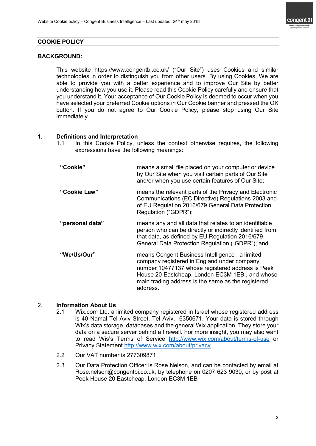

# COOKIE POLICY

#### BACKGROUND:

 This website https://www.congentbi.co.uk/ ("Our Site") uses Cookies and similar technologies in order to distinguish you from other users. By using Cookies, We are able to provide you with a better experience and to improve Our Site by better understanding how you use it. Please read this Cookie Policy carefully and ensure that you understand it. Your acceptance of Our Cookie Policy is deemed to occur when you have selected your preferred Cookie options in Our Cookie banner and pressed the OK button. If you do not agree to Our Cookie Policy, please stop using Our Site immediately.

#### 1. Definitions and Interpretation

1.1 In this Cookie Policy, unless the context otherwise requires, the following expressions have the following meanings:

| "Cookie"        | means a small file placed on your computer or device<br>by Our Site when you visit certain parts of Our Site<br>and/or when you use certain features of Our Site;                                                                                                      |
|-----------------|------------------------------------------------------------------------------------------------------------------------------------------------------------------------------------------------------------------------------------------------------------------------|
| "Cookie Law"    | means the relevant parts of the Privacy and Electronic<br>Communications (EC Directive) Regulations 2003 and<br>of EU Regulation 2016/679 General Data Protection<br>Regulation ("GDPR");                                                                              |
| "personal data" | means any and all data that relates to an identifiable<br>person who can be directly or indirectly identified from<br>that data, as defined by EU Regulation 2016/679<br>General Data Protection Regulation ("GDPR"); and                                              |
| "We/Us/Our"     | means Congent Business Intelligence, a limited<br>company registered in England under company<br>number 10477137 whose registered address is Peek<br>House 20 Eastcheap. London EC3M 1EB., and whose<br>main trading address is the same as the registered<br>address. |

#### 2. Information About Us

- 2.1 Wix.com Ltd, a limited company registered in Israel whose registered address is 40 Namal Tel Aviv Street. Tel Aviv, 6350671. Your data is stored through Wix's data storage, databases and the general Wix application. They store your data on a secure server behind a firewall. For more insight, you may also want to read Wis's Terms of Service http://www.wix.com/about/terms-of-use or Privacy Statement http://www.wix.com/about/privacy
- 2.2 Our VAT number is 277309871
- 2.3 Our Data Protection Officer is Rose Nelson, and can be contacted by email at Rose.nelson@congentbi.co.uk, by telephone on 0207 623 9030, or by post at Peek House 20 Eastcheap. London EC3M 1EB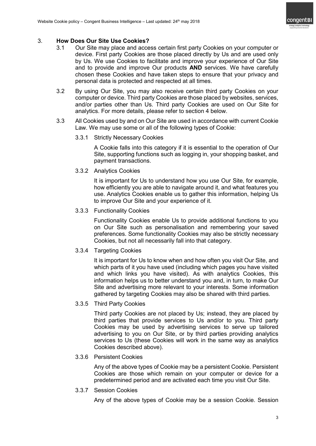

# 3. How Does Our Site Use Cookies?

- 3.1 Our Site may place and access certain first party Cookies on your computer or device. First party Cookies are those placed directly by Us and are used only by Us. We use Cookies to facilitate and improve your experience of Our Site and to provide and improve Our products AND services. We have carefully chosen these Cookies and have taken steps to ensure that your privacy and personal data is protected and respected at all times.
- 3.2 By using Our Site, you may also receive certain third party Cookies on your computer or device. Third party Cookies are those placed by websites, services, and/or parties other than Us. Third party Cookies are used on Our Site for analytics. For more details, please refer to section 4 below.
- 3.3 All Cookies used by and on Our Site are used in accordance with current Cookie Law. We may use some or all of the following types of Cookie:
	- 3.3.1 Strictly Necessary Cookies

A Cookie falls into this category if it is essential to the operation of Our Site, supporting functions such as logging in, your shopping basket, and payment transactions.

3.3.2 Analytics Cookies

It is important for Us to understand how you use Our Site, for example, how efficiently you are able to navigate around it, and what features you use. Analytics Cookies enable us to gather this information, helping Us to improve Our Site and your experience of it.

3.3.3 Functionality Cookies

Functionality Cookies enable Us to provide additional functions to you on Our Site such as personalisation and remembering your saved preferences. Some functionality Cookies may also be strictly necessary Cookies, but not all necessarily fall into that category.

3.3.4 Targeting Cookies

It is important for Us to know when and how often you visit Our Site, and which parts of it you have used (including which pages you have visited and which links you have visited). As with analytics Cookies, this information helps us to better understand you and, in turn, to make Our Site and advertising more relevant to your interests. Some information gathered by targeting Cookies may also be shared with third parties.

3.3.5 Third Party Cookies

Third party Cookies are not placed by Us; instead, they are placed by third parties that provide services to Us and/or to you. Third party Cookies may be used by advertising services to serve up tailored advertising to you on Our Site, or by third parties providing analytics services to Us (these Cookies will work in the same way as analytics Cookies described above).

3.3.6 Persistent Cookies

Any of the above types of Cookie may be a persistent Cookie. Persistent Cookies are those which remain on your computer or device for a predetermined period and are activated each time you visit Our Site.

3.3.7 Session Cookies

Any of the above types of Cookie may be a session Cookie. Session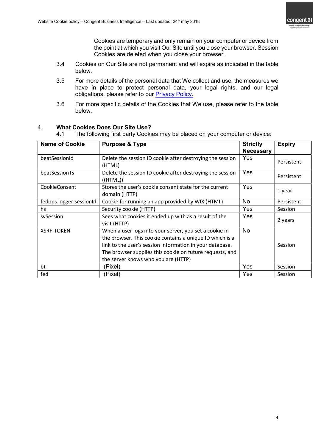

Cookies are temporary and only remain on your computer or device from the point at which you visit Our Site until you close your browser. Session Cookies are deleted when you close your browser.

- 3.4 Cookies on Our Site are not permanent and will expire as indicated in the table below.
- 3.5 For more details of the personal data that We collect and use, the measures we have in place to protect personal data, your legal rights, and our legal obligations, please refer to our **Privacy Policy**.
- 3.6 For more specific details of the Cookies that We use, please refer to the table below.

| <b>Name of Cookie</b>   | <b>Purpose &amp; Type</b>                                                                                                                                                                                                                                                         | <b>Strictly</b><br><b>Necessary</b> | <b>Expiry</b> |
|-------------------------|-----------------------------------------------------------------------------------------------------------------------------------------------------------------------------------------------------------------------------------------------------------------------------------|-------------------------------------|---------------|
| beatSessionId           | Delete the session ID cookie after destroying the session<br>(HTML)                                                                                                                                                                                                               | Yes                                 | Persistent    |
| beatSessionTs           | Delete the session ID cookie after destroying the session<br>((HTML))                                                                                                                                                                                                             | Yes                                 | Persistent    |
| CookieConsent           | Stores the user's cookie consent state for the current<br>domain (HTTP)                                                                                                                                                                                                           | Yes                                 | 1 year        |
| fedops.logger.sessionId | Cookie for running an app provided by WIX (HTML)                                                                                                                                                                                                                                  | <b>No</b>                           | Persistent    |
| hs                      | Security cookie (HTTP)                                                                                                                                                                                                                                                            | Yes                                 | Session       |
| svSession               | Sees what cookies it ended up with as a result of the<br>visit (HTTP)                                                                                                                                                                                                             | Yes                                 | 2 years       |
| <b>XSRF-TOKEN</b>       | When a user logs into your server, you set a cookie in<br>the browser. This cookie contains a unique ID which is a<br>link to the user's session information in your database.<br>The browser supplies this cookie on future requests, and<br>the server knows who you are (HTTP) | <b>No</b>                           | Session       |
| bt                      | (Pixel)                                                                                                                                                                                                                                                                           | Yes                                 | Session       |
| fed                     | (Pixel)                                                                                                                                                                                                                                                                           | Yes                                 | Session       |

# 4. What Cookies Does Our Site Use?

4.1 The following first party Cookies may be placed on your computer or device: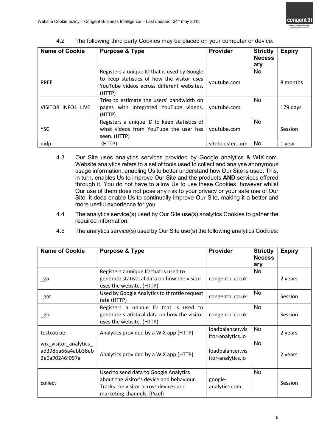| <b>Name of Cookie</b> | <b>Purpose &amp; Type</b>                                                                                                                         | <b>Provider</b> | <b>Strictly</b><br><b>Necess</b><br>ary | <b>Expiry</b> |
|-----------------------|---------------------------------------------------------------------------------------------------------------------------------------------------|-----------------|-----------------------------------------|---------------|
| <b>PREF</b>           | Registers a unique ID that is used by Google<br>to keep statistics of how the visitor uses<br>YouTube videos across different websites.<br>(HTTP) | youtube.com     | No.                                     | 8 months      |
| VISITOR INFO1 LIVE    | Tries to estimate the users' bandwidth on<br>pages with integrated YouTube videos.<br>(HTTP)                                                      | youtube.com     | <b>No</b>                               | 179 days      |
| <b>YSC</b>            | Registers a unique ID to keep statistics of<br>what videos from YouTube the user has<br>seen. (HTTP)                                              | youtube.com     | <b>No</b>                               | Session       |
| uidp                  | (HTTP)                                                                                                                                            | sitebooster.com | <b>No</b>                               | 1 year        |

4.2 The following third party Cookies may be placed on your computer or device:

- 4.3 Our Site uses analytics services provided by Google analytics & WIX.com. Website analytics refers to a set of tools used to collect and analyse anonymous usage information, enabling Us to better understand how Our Site is used. This, in turn, enables Us to improve Our Site and the products AND services offered through it. You do not have to allow Us to use these Cookies, however whilst Our use of them does not pose any risk to your privacy or your safe use of Our Site, it does enable Us to continually improve Our Site, making it a better and more useful experience for you.
- 4.4 The analytics service(s) used by Our Site use(s) analytics Cookies to gather the required information.

| <b>Name of Cookie</b>                                          | <b>Purpose &amp; Type</b>                                                                                                                                  | <b>Provider</b>                       | <b>Strictly</b><br><b>Necess</b><br>ary | <b>Expiry</b> |
|----------------------------------------------------------------|------------------------------------------------------------------------------------------------------------------------------------------------------------|---------------------------------------|-----------------------------------------|---------------|
| _ga                                                            | Registers a unique ID that is used to<br>generate statistical data on how the visitor<br>uses the website. (HTTP)                                          | congentbi.co.uk                       | No.                                     | 2 years       |
| _gat                                                           | Used by Google Analytics to throttle request<br>rate (HTTP)                                                                                                | congentbi.co.uk                       | <b>No</b>                               | Session       |
| _gid                                                           | Registers a unique ID that is used to<br>generate statistical data on how the visitor<br>uses the website. (HTTP)                                          | congentbi.co.uk                       | <b>No</b>                               | Session       |
| testcookie                                                     | Analytics provided by a WIX app (HTTP)                                                                                                                     | loadbalancer.vis<br>itor-analytics.io | <b>No</b>                               | 2 years       |
| wix_visitor_analytics_<br>ad398ba66a4abb38eb<br>2e0a90246f097a | Analytics provided by a WIX app (HTTP)                                                                                                                     | loadbalancer.vis<br>itor-analytics.io | <b>No</b>                               | 2 years       |
| collect                                                        | Used to send data to Google Analytics<br>about the visitor's device and behaviour.<br>Tracks the visitor across devices and<br>marketing channels. (Pixel) | google-<br>analytics.com              | <b>No</b>                               | Session       |

4.5 The analytics service(s) used by Our Site use(s) the following analytics Cookies: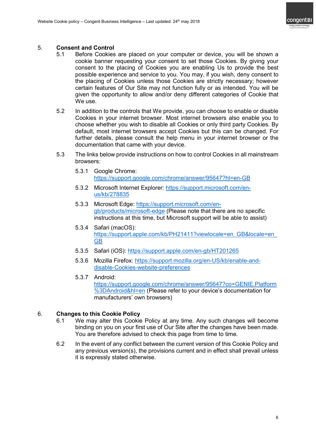

# 5. Consent and Control

- 5.1 Before Cookies are placed on your computer or device, you will be shown a cookie banner requesting your consent to set those Cookies. By giving your consent to the placing of Cookies you are enabling Us to provide the best possible experience and service to you. You may, if you wish, deny consent to the placing of Cookies unless those Cookies are strictly necessary; however certain features of Our Site may not function fully or as intended. You will be given the opportunity to allow and/or deny different categories of Cookie that We use.
- 5.2 In addition to the controls that We provide, you can choose to enable or disable Cookies in your internet browser. Most internet browsers also enable you to choose whether you wish to disable all Cookies or only third party Cookies. By default, most internet browsers accept Cookies but this can be changed. For further details, please consult the help menu in your internet browser or the documentation that came with your device.
- 5.3 The links below provide instructions on how to control Cookies in all mainstream browsers:
	- 5.3.1 Google Chrome: https://support.google.com/chrome/answer/95647?hl=en-GB
	- 5.3.2 Microsoft Internet Explorer: https://support.microsoft.com/enus/kb/278835
	- 5.3.3 Microsoft Edge: https://support.microsoft.com/engb/products/microsoft-edge (Please note that there are no specific instructions at this time, but Microsoft support will be able to assist)
	- 5.3.4 Safari (macOS): https://support.apple.com/kb/PH21411?viewlocale=en\_GB&locale=en\_ GB
	- 5.3.5 Safari (iOS): https://support.apple.com/en-gb/HT201265
	- 5.3.6 Mozilla Firefox: https://support.mozilla.org/en-US/kb/enable-anddisable-Cookies-website-preferences
	- 5.3.7 Android: https://support.google.com/chrome/answer/95647?co=GENIE.Platform %3DAndroid&hl=en (Please refer to your device's documentation for manufacturers' own browsers)

# 6. Changes to this Cookie Policy

- 6.1 We may alter this Cookie Policy at any time. Any such changes will become binding on you on your first use of Our Site after the changes have been made. You are therefore advised to check this page from time to time.
- 6.2 In the event of any conflict between the current version of this Cookie Policy and any previous version(s), the provisions current and in effect shall prevail unless it is expressly stated otherwise.